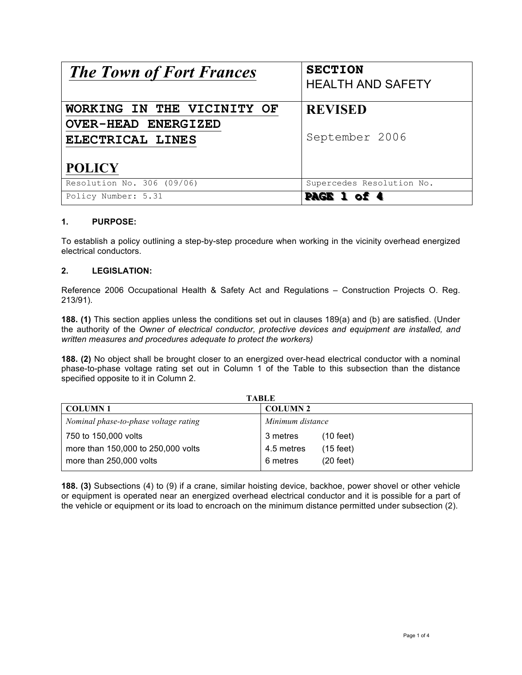| <b>The Town of Fort Frances</b> | <b>SECTION</b><br><b>HEALTH AND SAFETY</b> |
|---------------------------------|--------------------------------------------|
|                                 |                                            |
| WORKING IN THE VICINITY OF      | <b>REVISED</b>                             |
| <b>OVER-HEAD ENERGIZED</b>      |                                            |
| ELECTRICAL LINES                | September 2006                             |
|                                 |                                            |
| <b>POLICY</b>                   |                                            |
| Resolution No. 306 (09/06)      | Supercedes Resolution No.                  |
| Policy Number: 5.31             | PAGE                                       |

# **1. PURPOSE:**

To establish a policy outlining a step-by-step procedure when working in the vicinity overhead energized electrical conductors.

## **2. LEGISLATION:**

Reference 2006 Occupational Health & Safety Act and Regulations – Construction Projects O. Reg. 213/91).

**188. (1)** This section applies unless the conditions set out in clauses 189(a) and (b) are satisfied. (Under the authority of the *Owner of electrical conductor, protective devices and equipment are installed, and written measures and procedures adequate to protect the workers)*

**188. (2)** No object shall be brought closer to an energized over-head electrical conductor with a nominal phase-to-phase voltage rating set out in Column 1 of the Table to this subsection than the distance specified opposite to it in Column 2.

| <b>TABLE</b>                          |                                 |  |
|---------------------------------------|---------------------------------|--|
| <b>COLUMN1</b>                        | <b>COLUMN 2</b>                 |  |
| Nominal phase-to-phase voltage rating | Minimum distance                |  |
| 750 to 150,000 volts                  | $(10 \text{ feet})$<br>3 metres |  |
| more than 150,000 to 250,000 volts    | (15 feet)<br>4.5 metres         |  |
| more than 250,000 volts               | $(20 \text{ feet})$<br>6 metres |  |

**188. (3)** Subsections (4) to (9) if a crane, similar hoisting device, backhoe, power shovel or other vehicle or equipment is operated near an energized overhead electrical conductor and it is possible for a part of the vehicle or equipment or its load to encroach on the minimum distance permitted under subsection (2).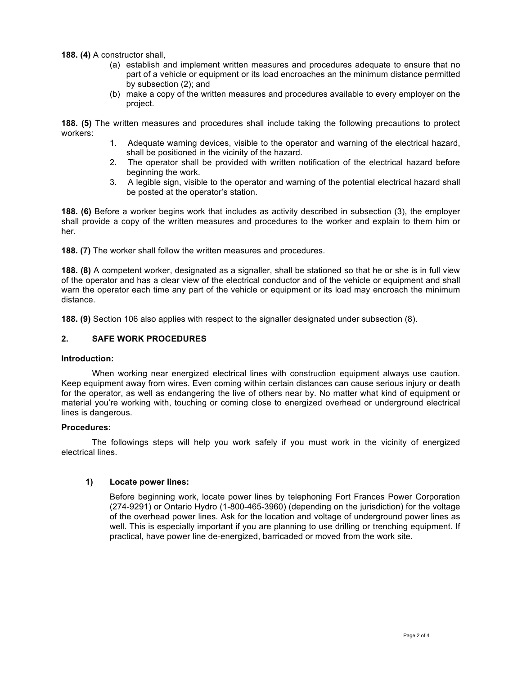**188. (4)** A constructor shall,

- (a) establish and implement written measures and procedures adequate to ensure that no part of a vehicle or equipment or its load encroaches an the minimum distance permitted by subsection (2); and
- (b) make a copy of the written measures and procedures available to every employer on the project.

**188. (5)** The written measures and procedures shall include taking the following precautions to protect workers:

- 1. Adequate warning devices, visible to the operator and warning of the electrical hazard, shall be positioned in the vicinity of the hazard.
- 2. The operator shall be provided with written notification of the electrical hazard before beginning the work.
- 3. A legible sign, visible to the operator and warning of the potential electrical hazard shall be posted at the operator's station.

**188. (6)** Before a worker begins work that includes as activity described in subsection (3), the employer shall provide a copy of the written measures and procedures to the worker and explain to them him or her.

**188. (7)** The worker shall follow the written measures and procedures.

**188. (8)** A competent worker, designated as a signaller, shall be stationed so that he or she is in full view of the operator and has a clear view of the electrical conductor and of the vehicle or equipment and shall warn the operator each time any part of the vehicle or equipment or its load may encroach the minimum distance.

**188. (9)** Section 106 also applies with respect to the signaller designated under subsection (8).

# **2. SAFE WORK PROCEDURES**

### **Introduction:**

When working near energized electrical lines with construction equipment always use caution. Keep equipment away from wires. Even coming within certain distances can cause serious injury or death for the operator, as well as endangering the live of others near by. No matter what kind of equipment or material you're working with, touching or coming close to energized overhead or underground electrical lines is dangerous.

#### **Procedures:**

The followings steps will help you work safely if you must work in the vicinity of energized electrical lines.

## **1) Locate power lines:**

Before beginning work, locate power lines by telephoning Fort Frances Power Corporation (274-9291) or Ontario Hydro (1-800-465-3960) (depending on the jurisdiction) for the voltage of the overhead power lines. Ask for the location and voltage of underground power lines as well. This is especially important if you are planning to use drilling or trenching equipment. If practical, have power line de-energized, barricaded or moved from the work site.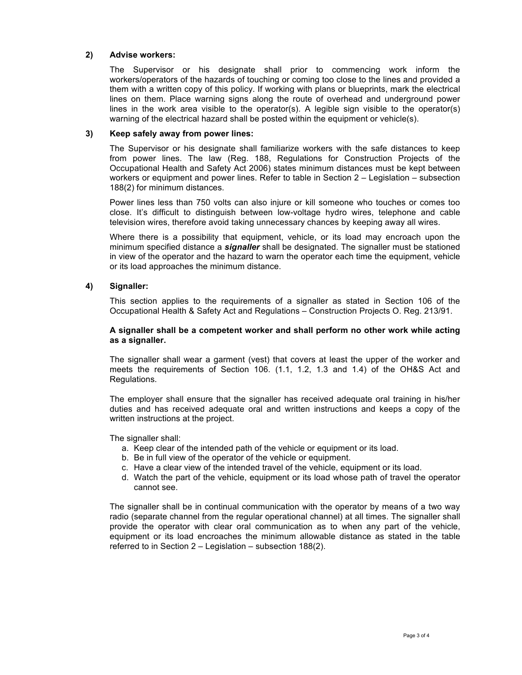## **2) Advise workers:**

The Supervisor or his designate shall prior to commencing work inform the workers/operators of the hazards of touching or coming too close to the lines and provided a them with a written copy of this policy. If working with plans or blueprints, mark the electrical lines on them. Place warning signs along the route of overhead and underground power lines in the work area visible to the operator(s). A legible sign visible to the operator(s) warning of the electrical hazard shall be posted within the equipment or vehicle(s).

## **3) Keep safely away from power lines:**

The Supervisor or his designate shall familiarize workers with the safe distances to keep from power lines. The law (Reg. 188, Regulations for Construction Projects of the Occupational Health and Safety Act 2006) states minimum distances must be kept between workers or equipment and power lines. Refer to table in Section 2 – Legislation – subsection 188(2) for minimum distances.

Power lines less than 750 volts can also injure or kill someone who touches or comes too close. It's difficult to distinguish between low-voltage hydro wires, telephone and cable television wires, therefore avoid taking unnecessary chances by keeping away all wires.

Where there is a possibility that equipment, vehicle, or its load may encroach upon the minimum specified distance a *signaller* shall be designated. The signaller must be stationed in view of the operator and the hazard to warn the operator each time the equipment, vehicle or its load approaches the minimum distance.

# **4) Signaller:**

This section applies to the requirements of a signaller as stated in Section 106 of the Occupational Health & Safety Act and Regulations – Construction Projects O. Reg. 213/91.

### **A signaller shall be a competent worker and shall perform no other work while acting as a signaller.**

The signaller shall wear a garment (vest) that covers at least the upper of the worker and meets the requirements of Section 106. (1.1, 1.2, 1.3 and 1.4) of the OH&S Act and Regulations.

The employer shall ensure that the signaller has received adequate oral training in his/her duties and has received adequate oral and written instructions and keeps a copy of the written instructions at the project.

The signaller shall:

- a. Keep clear of the intended path of the vehicle or equipment or its load.
- b. Be in full view of the operator of the vehicle or equipment.
- c. Have a clear view of the intended travel of the vehicle, equipment or its load.
- d. Watch the part of the vehicle, equipment or its load whose path of travel the operator cannot see.

The signaller shall be in continual communication with the operator by means of a two way radio (separate channel from the regular operational channel) at all times. The signaller shall provide the operator with clear oral communication as to when any part of the vehicle, equipment or its load encroaches the minimum allowable distance as stated in the table referred to in Section 2 – Legislation – subsection 188(2).